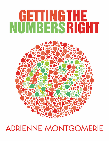# **GETTINGTHE<br>NUMBERSRIGHT**



## **ADRIENNE MONTGOMERIE**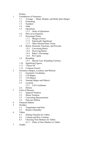#### Preface

- 1 Foundations of Numeracy
	- 1.1 Average Mean, Median, and Mode (plus Range)
	- 1.2 Estimating
	- 1.3 Numbers
	- 1.4 Odds
	- 1.5 Operations
		- 1.5.1 Order of Operations
	- 1.6 Parts of an Equation
	- 1.7 Percentage Points
		- 1.7.1 Margin of Error
		- 1.7.2 Statistically Significant
		- 1.7.3 Other Misused Stats Terms
	- 1.8 Ratios: Decimals, Fractions, and Percents
		- 1.8.1 Converting Ratios
		- 1.8.2 Deceiving Ratios
		- 1.8.3 Baker's Percentage
		- 1.8.4 Per Capita
	- 1.9 Rounding
		- 1.9.1 Special Case: Rounding Currency
	- 1.10 Significant Figures
	- 1.11 "Factor Of"
	- 1.12 Common Factors
- 2 Geometry (Shapes, Location, and Motion)
	- 2.1 Geometric Vocabulary
	- 2.2 2-D Shapes
	- 2.3 3-D Objects
	- 2.4 Naming Shapes and Objects
	- 2.5 Location
		- 2.5.1 2-D Coordinates
	- 2.6 Motion
- 3 Units of Measure
	- 3.1 Imperial Notation
	- 3.2 Metric Notation
	- 3.3 Converting Measurements
	- 3.4 Parts per Million
- 4 Financial Matters<br>5 Weather
- **Weather** 
	- 5.1 Temperature and Heat
	- 5.2 Relative Humidity
- 6 Tables
	- 6.1 Editing Checklist for Tables
	- 6.2 Column and Row Contents
	- 6.3 Choosing Note Markers for Tables
		- 6.3.1 Order of Note Markers in Tables
- 7 Graphs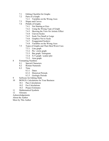- 7.1 Editing Checklist for Graphs
- 7.2 Parts of a Graph
	- 7.2.1 Variables on the Wrong Axes
- 7.3 Slopes and Curves
- 7.4 Pitfalls of Graphs
	- 7.4.1 Not Starting at Zero
	- 7.4.2 Using the Wrong Type of Graph
	- 7.4.3 Skewing the View for Artistic Effect
	- 7.4.4 Uneven Scales
	- 7.4.5 Scale Too Small or Large
	- 7.4.6 Graphics Not to Scale
	- 7.4.7 Exaggerated Scale(s)
	- 7.4.8 Variables on the Wrong Axes
- 7.5 Types of Graphs and Their Best/Worst Uses
	- 7.5.1 Line graph
	- 7.5.2 Pie / circle graph
	- 7.5.3 Bar graph / histogram
	- 7.5.4 X-Y graph / scatter plot
	- 7.5.5 Area graph
- 8 Formatting Numbers
	- 8.1 Special Characters
	- 8.2 Roman Numerals
	- 8.3 Time
		- 8.3.1 Dates
		- 8.3.2 Historical Periods
		- 8.3.3 Geologic Periods
- 9 Software for Editing Math
- 10 BONUS: Calculations for Your Business
	- 10.1 Pace Calculations
	- 10.2 Fee Calculations
	- 10.3 Project Estimates
- 11 Mathematical Symbols
- 12 Glossary

Acknowledgements

About the Author

More by This Author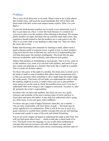#### Preface

This is not a book about how to do math. What it aims to do is help editors spot trouble areas, and teach the secret handshake that will let them talk about math with their writers and subject-matter experts. (Hint: Use your digits.)

I wrote this book because numbers are in nearly every manuscript, even if they're just dates on a flyer. I wrote this book because it's common for everyone to gloss over the numbers when checking a document. We assume phone numbers are right, that dates line up, and that totals make sense. But experience should remind us that the numbers are a weak point in any file. They're as weak a link as any heading or other large text. They are where the errors like to lurk.

Rather than becoming uber-numerate by learning to math, editors need a quick reference guide to common errors, a guide to how to check numbers using tools that are easy to find and use, and a level of understanding that will help them query the numbers intelligently. This book fills the gaps between wordsmiths, math textbooks, and technical style guides.

Editors find numbers as intimidating as most people. That is to say, some of us like numbers a lot, some of us can deal with numbers, and some of us go into a panic just glancing at a character that looks like it might be a number. This is a book for all those editors.

For those who *panic* at the sight of a number, this book aims to orient you to the kinds of math or uses of numbers that editors find in mainstream texts, so that you can sense when something is off or might make the reader judge the writer poorly. This book will not make you understand the math or why the numbers might be in error, it simply trains your eye to spot problem areas and gives you the tools to check for possible errors even if you don't understand what went wrong or can't suggest a correction. Accuracy is, after all, primarily the writer's responsibility.

For those who *can* deal with numbers, this book can serve as a quick reference and reminder of the most common types of errors and how to check them and query the author. It may help you understand what's going on a little more, so you can query with confidence.

For those who get a rush of happy hormones when they see a number who are truly comfortable with most forms of math — this book may be sorely superficial in its explanations. What it will do for you is serve as a quick reference to confirm those number concepts that you are still learning to master and a guide to some of the tools and related formatting.

You do not need a higher ed degree to understand the math in this book. Nor will you find sports data in here — which would take a whole book of its own. This book covers the language we use to talk about mathematical concepts (like percent increases and odds, and shapes too) and some conventions and pitfalls editors come across in presenting common types of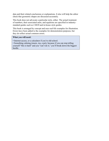data and their related conclusions or explanations. It also will help the editor check that geometric shapes are discussed accurately.

This book does not advocate a particular style, either. The actual treatment of numbers, their associated units, and equations are specified in industrystandard guides such as *CMOS* and in-house style guides.

This book is arranged by concept and uses real-life examples for illustration. Errors have been added to the examples for demonstration purposes, but they do reflect actual common errors.

#### **What you will need:**

• Internet access, or a calculator if you're old-school.

• Something calming (music, tea, a pet), because if you can stop telling yourself "this is hard" and you "can't do it," you'll break down the biggest hurdle.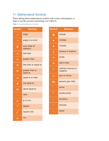#### 11 Mathematical Symbols

When talking about mathematical symbols with writers and designers, it helps to use the accurate terminology (see Table 9).

*Table 9 Common mathematical symbols.*

| <b>Symbol</b>        | <b>Meaning</b>              |
|----------------------|-----------------------------|
| 1.                   | angle                       |
| ∢                    | angle in a circle           |
| Σ                    | sum (total of<br>addition)  |
| $\,<$                | less than                   |
| $\,>$                | greater than                |
| ≤                    | less than or equal to       |
| ≥                    | greater than or<br>equal to |
| =                    | equal to or total           |
| ≢                    | not equal to                |
| ペ                    | about equal to              |
| $\ddot{\phantom{0}}$ | ratio                       |
| $\pi$                | pi (3.14)                   |
| $\circ$              | degree                      |
|                      | square root                 |
| $\mu$                | mu                          |

| <b>Symbol</b>              | <b>Meaning</b>                  |
|----------------------------|---------------------------------|
| Δ                          | change                          |
| $\overline{\textbf{x}}$    | multiply                        |
| $\bullet$                  | multiply                        |
| /                          | division or fraction            |
| ÷                          | divide                          |
| ٠                          | add or plus                     |
|                            | subtract (minus) or<br>negative |
| 士                          | plus or minus                   |
| $\overline{\textbf{0}}$    | percent (per 100)               |
|                            | prime                           |
| $\boldsymbol{\mathcal{U}}$ | double prime                    |
| ∴.                         | therefore                       |
|                            | because                         |
|                            | about                           |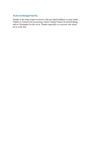#### Acknowledgements

Thanks to the many expert reviewers who provided feedback on early drafts. Thanks to Cameron for an accuracy check, Natalie Francis for proofreading, and to Christopher for the cover. Thanks especially to everyone who asked me to write this.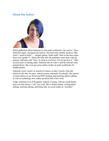#### About the Author



When publishers asked Adrienne to edit math workbooks, she said no. They asked her again, and again she said no. She had some number dyslexia. She wasn't "good at math" — despite taking "triple math" back in the days when there was a grade 13. About the fifth time the publisher came back with the request, Adrienne said "Fine. As long as you know I'm not good at it." After several years of editing math, Adrienne felt ok with it, and the internal critic quieted down. She even got some author credits on math workbooks for middle grades.

Adrienne wasn't nearly so scared of science, so that's mostly what she edited for the first 16 years: school science materials. Eventually, she started to teach editors to use Word and PDF markup, and teaching editors editing as well as technology now makes up about half of her work.

Today Adrienne lives in Kingston, Ontario, Canada, with her small family and a cat who doesn't "cat" very well. She is found editing, writing about editing, teaching editing, and being silly on social media as "scieditor."